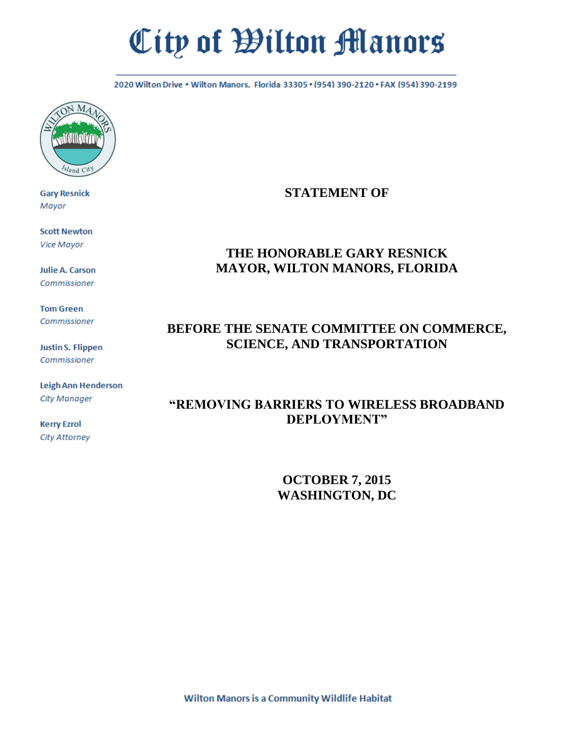# City of Wilton Manors

2020 Wilton Drive . Wilton Manors, Florida 33305 . (954) 390-2120 . FAX (954) 390-2199



**Gary Resnick** Mayor

**Scott Newton Vice Mayor** 

**Julie A. Carson** Commissioner

**Tom Green** Commissioner

**Justin S. Flippen** Commissioner

Leigh Ann Henderson **City Manager** 

**Kerry Ezrol City Attorney** 

## **STATEMENT OF**

## **THE HONORABLE GARY RESNICK MAYOR, WILTON MANORS, FLORIDA**

# **BEFORE THE SENATE COMMITTEE ON COMMERCE, SCIENCE, AND TRANSPORTATION**

# **"REMOVING BARRIERS TO WIRELESS BROADBAND DEPLOYMENT"**

**OCTOBER 7, 2015 WASHINGTON, DC**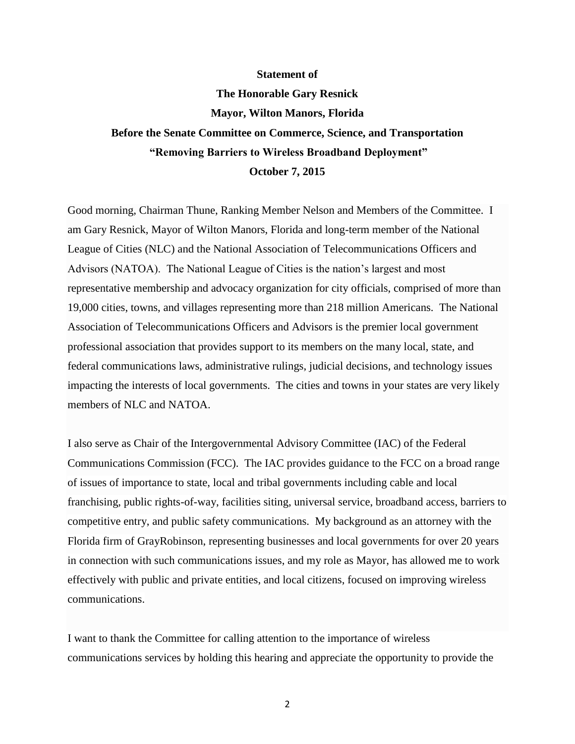#### **Statement of**

## **The Honorable Gary Resnick**

#### **Mayor, Wilton Manors, Florida**

# **Before the Senate Committee on Commerce, Science, and Transportation "Removing Barriers to Wireless Broadband Deployment" October 7, 2015**

Good morning, Chairman Thune, Ranking Member Nelson and Members of the Committee. I am Gary Resnick, Mayor of Wilton Manors, Florida and long-term member of the National League of Cities (NLC) and the National Association of Telecommunications Officers and Advisors (NATOA). The National League of Cities is the nation's largest and most representative membership and advocacy organization for city officials, comprised of more than 19,000 cities, towns, and villages representing more than 218 million Americans. The National Association of Telecommunications Officers and Advisors is the premier local government professional association that provides support to its members on the many local, state, and federal communications laws, administrative rulings, judicial decisions, and technology issues impacting the interests of local governments. The cities and towns in your states are very likely members of NLC and NATOA.

I also serve as Chair of the Intergovernmental Advisory Committee (IAC) of the Federal Communications Commission (FCC). The IAC provides guidance to the FCC on a broad range of issues of importance to state, local and tribal governments including cable and local franchising, public rights-of-way, facilities siting, universal service, broadband access, barriers to competitive entry, and public safety communications. My background as an attorney with the Florida firm of GrayRobinson, representing businesses and local governments for over 20 years in connection with such communications issues, and my role as Mayor, has allowed me to work effectively with public and private entities, and local citizens, focused on improving wireless communications.

I want to thank the Committee for calling attention to the importance of wireless communications services by holding this hearing and appreciate the opportunity to provide the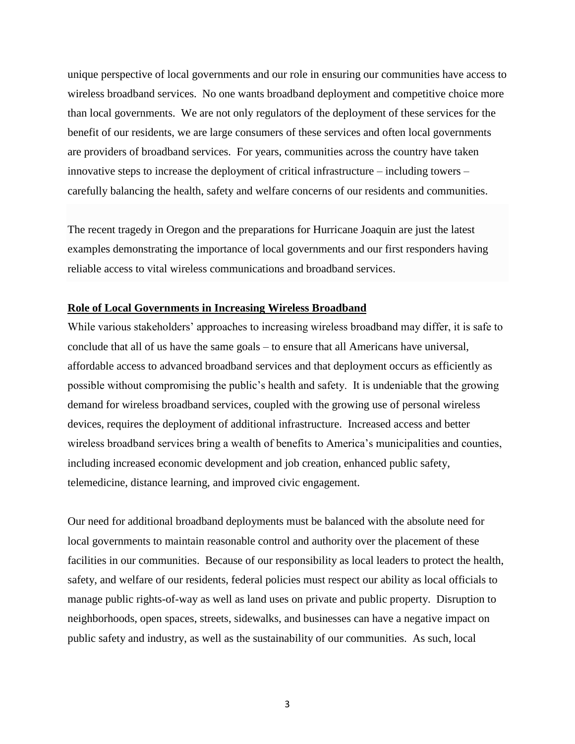unique perspective of local governments and our role in ensuring our communities have access to wireless broadband services. No one wants broadband deployment and competitive choice more than local governments. We are not only regulators of the deployment of these services for the benefit of our residents, we are large consumers of these services and often local governments are providers of broadband services. For years, communities across the country have taken innovative steps to increase the deployment of critical infrastructure – including towers – carefully balancing the health, safety and welfare concerns of our residents and communities.

The recent tragedy in Oregon and the preparations for Hurricane Joaquin are just the latest examples demonstrating the importance of local governments and our first responders having reliable access to vital wireless communications and broadband services.

### **Role of Local Governments in Increasing Wireless Broadband**

While various stakeholders' approaches to increasing wireless broadband may differ, it is safe to conclude that all of us have the same goals – to ensure that all Americans have universal, affordable access to advanced broadband services and that deployment occurs as efficiently as possible without compromising the public's health and safety. It is undeniable that the growing demand for wireless broadband services, coupled with the growing use of personal wireless devices, requires the deployment of additional infrastructure. Increased access and better wireless broadband services bring a wealth of benefits to America's municipalities and counties, including increased economic development and job creation, enhanced public safety, telemedicine, distance learning, and improved civic engagement.

Our need for additional broadband deployments must be balanced with the absolute need for local governments to maintain reasonable control and authority over the placement of these facilities in our communities. Because of our responsibility as local leaders to protect the health, safety, and welfare of our residents, federal policies must respect our ability as local officials to manage public rights-of-way as well as land uses on private and public property. Disruption to neighborhoods, open spaces, streets, sidewalks, and businesses can have a negative impact on public safety and industry, as well as the sustainability of our communities. As such, local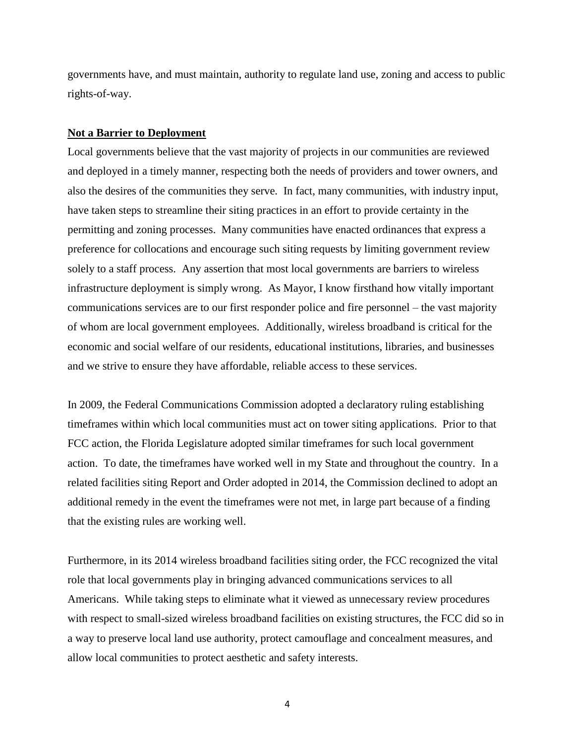governments have, and must maintain, authority to regulate land use, zoning and access to public rights-of-way.

#### **Not a Barrier to Deployment**

Local governments believe that the vast majority of projects in our communities are reviewed and deployed in a timely manner, respecting both the needs of providers and tower owners, and also the desires of the communities they serve. In fact, many communities, with industry input, have taken steps to streamline their siting practices in an effort to provide certainty in the permitting and zoning processes. Many communities have enacted ordinances that express a preference for collocations and encourage such siting requests by limiting government review solely to a staff process. Any assertion that most local governments are barriers to wireless infrastructure deployment is simply wrong. As Mayor, I know firsthand how vitally important communications services are to our first responder police and fire personnel – the vast majority of whom are local government employees. Additionally, wireless broadband is critical for the economic and social welfare of our residents, educational institutions, libraries, and businesses and we strive to ensure they have affordable, reliable access to these services.

In 2009, the Federal Communications Commission adopted a declaratory ruling establishing timeframes within which local communities must act on tower siting applications. Prior to that FCC action, the Florida Legislature adopted similar timeframes for such local government action. To date, the timeframes have worked well in my State and throughout the country. In a related facilities siting Report and Order adopted in 2014, the Commission declined to adopt an additional remedy in the event the timeframes were not met, in large part because of a finding that the existing rules are working well.

Furthermore, in its 2014 wireless broadband facilities siting order, the FCC recognized the vital role that local governments play in bringing advanced communications services to all Americans. While taking steps to eliminate what it viewed as unnecessary review procedures with respect to small-sized wireless broadband facilities on existing structures, the FCC did so in a way to preserve local land use authority, protect camouflage and concealment measures, and allow local communities to protect aesthetic and safety interests.

4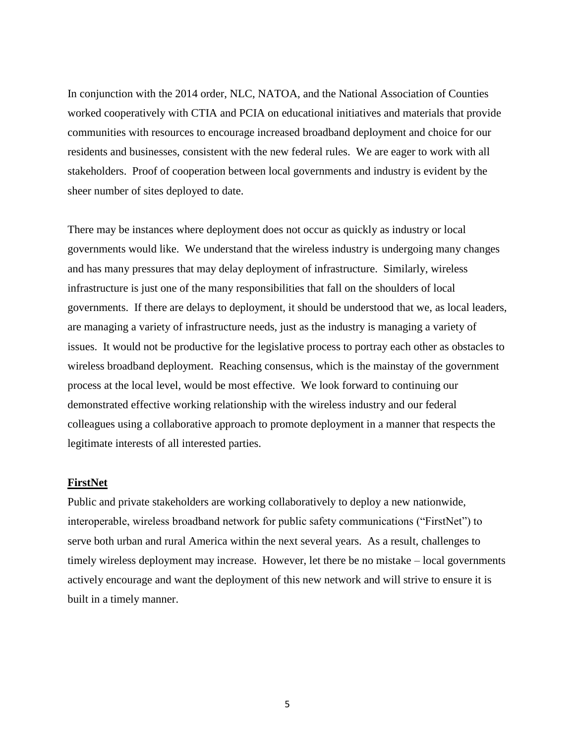In conjunction with the 2014 order, NLC, NATOA, and the National Association of Counties worked cooperatively with CTIA and PCIA on educational initiatives and materials that provide communities with resources to encourage increased broadband deployment and choice for our residents and businesses, consistent with the new federal rules. We are eager to work with all stakeholders. Proof of cooperation between local governments and industry is evident by the sheer number of sites deployed to date.

There may be instances where deployment does not occur as quickly as industry or local governments would like. We understand that the wireless industry is undergoing many changes and has many pressures that may delay deployment of infrastructure. Similarly, wireless infrastructure is just one of the many responsibilities that fall on the shoulders of local governments. If there are delays to deployment, it should be understood that we, as local leaders, are managing a variety of infrastructure needs, just as the industry is managing a variety of issues. It would not be productive for the legislative process to portray each other as obstacles to wireless broadband deployment. Reaching consensus, which is the mainstay of the government process at the local level, would be most effective. We look forward to continuing our demonstrated effective working relationship with the wireless industry and our federal colleagues using a collaborative approach to promote deployment in a manner that respects the legitimate interests of all interested parties.

## **FirstNet**

Public and private stakeholders are working collaboratively to deploy a new nationwide, interoperable, wireless broadband network for public safety communications ("FirstNet") to serve both urban and rural America within the next several years. As a result, challenges to timely wireless deployment may increase. However, let there be no mistake – local governments actively encourage and want the deployment of this new network and will strive to ensure it is built in a timely manner.

5